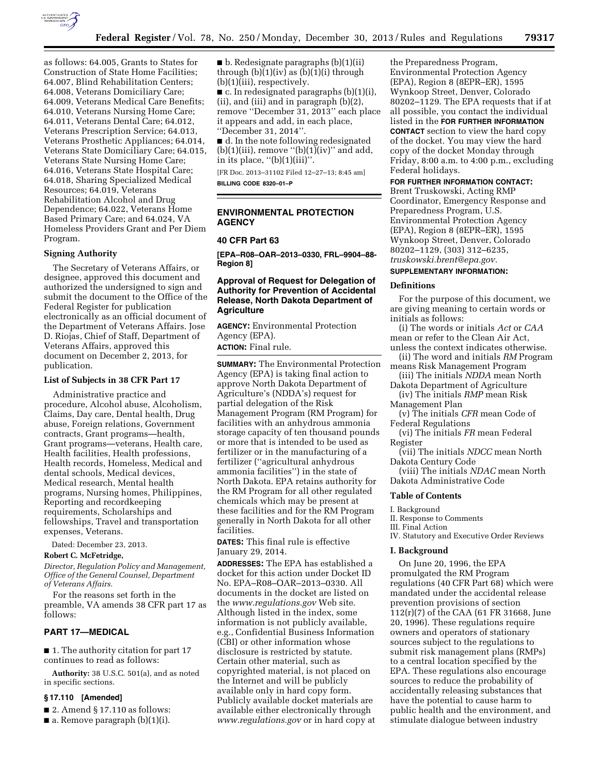

as follows: 64.005, Grants to States for Construction of State Home Facilities; 64.007, Blind Rehabilitation Centers; 64.008, Veterans Domiciliary Care; 64.009, Veterans Medical Care Benefits; 64.010, Veterans Nursing Home Care; 64.011, Veterans Dental Care; 64.012, Veterans Prescription Service; 64.013, Veterans Prosthetic Appliances; 64.014, Veterans State Domiciliary Care; 64.015, Veterans State Nursing Home Care; 64.016, Veterans State Hospital Care; 64.018, Sharing Specialized Medical Resources; 64.019, Veterans Rehabilitation Alcohol and Drug Dependence; 64.022, Veterans Home Based Primary Care; and 64.024, VA Homeless Providers Grant and Per Diem Program.

### **Signing Authority**

The Secretary of Veterans Affairs, or designee, approved this document and authorized the undersigned to sign and submit the document to the Office of the Federal Register for publication electronically as an official document of the Department of Veterans Affairs. Jose D. Riojas, Chief of Staff, Department of Veterans Affairs, approved this document on December 2, 2013, for publication.

### **List of Subjects in 38 CFR Part 17**

Administrative practice and procedure, Alcohol abuse, Alcoholism, Claims, Day care, Dental health, Drug abuse, Foreign relations, Government contracts, Grant programs—health, Grant programs—veterans, Health care, Health facilities, Health professions, Health records, Homeless, Medical and dental schools, Medical devices, Medical research, Mental health programs, Nursing homes, Philippines, Reporting and recordkeeping requirements, Scholarships and fellowships, Travel and transportation expenses, Veterans.

Dated: December 23, 2013.

## **Robert C. McFetridge,**

*Director, Regulation Policy and Management, Office of the General Counsel, Department of Veterans Affairs.* 

For the reasons set forth in the preamble, VA amends 38 CFR part 17 as follows:

### **PART 17—MEDICAL**

■ 1. The authority citation for part 17 continues to read as follows:

**Authority:** 38 U.S.C. 501(a), and as noted in specific sections.

### **§ 17.110 [Amended]**

- $\blacksquare$  2. Amend § 17.110 as follows:
- $\blacksquare$  a. Remove paragraph (b)(1)(i).

■ b. Redesignate paragraphs (b)(1)(ii) through  $(b)(i)(iv)$  as  $(b)(1)(i)$  through (b)(1)(iii), respectively.

 $\blacksquare$  c. In redesignated paragraphs (b)(1)(i), (ii), and (iii) and in paragraph (b)(2), remove ''December 31, 2013'' each place it appears and add, in each place, ''December 31, 2014''.

■ d. In the note following redesignated (b)(1)(iii), remove "(b)(1)(iv)" and add, in its place,  $''(b)(1)(iii)$ .

[FR Doc. 2013–31102 Filed 12–27–13; 8:45 am] **BILLING CODE 8320–01–P** 

## **ENVIRONMENTAL PROTECTION AGENCY**

## **40 CFR Part 63**

**[EPA–R08–OAR–2013–0330, FRL–9904–88- Region 8]** 

## **Approval of Request for Delegation of Authority for Prevention of Accidental Release, North Dakota Department of Agriculture**

**AGENCY:** Environmental Protection Agency (EPA).

**ACTION:** Final rule.

**SUMMARY:** The Environmental Protection Agency (EPA) is taking final action to approve North Dakota Department of Agriculture's (NDDA's) request for partial delegation of the Risk Management Program (RM Program) for facilities with an anhydrous ammonia storage capacity of ten thousand pounds or more that is intended to be used as fertilizer or in the manufacturing of a fertilizer (''agricultural anhydrous ammonia facilities'') in the state of North Dakota. EPA retains authority for the RM Program for all other regulated chemicals which may be present at these facilities and for the RM Program generally in North Dakota for all other facilities.

**DATES:** This final rule is effective January 29, 2014.

**ADDRESSES:** The EPA has established a docket for this action under Docket ID No. EPA–R08–OAR–2013–0330. All documents in the docket are listed on the *[www.regulations.gov](http://www.regulations.gov)* Web site. Although listed in the index, some information is not publicly available, e.g., Confidential Business Information (CBI) or other information whose disclosure is restricted by statute. Certain other material, such as copyrighted material, is not placed on the Internet and will be publicly available only in hard copy form. Publicly available docket materials are available either electronically through *[www.regulations.gov](http://www.regulations.gov)* or in hard copy at

the Preparedness Program, Environmental Protection Agency (EPA), Region 8 (8EPR–ER), 1595 Wynkoop Street, Denver, Colorado 80202–1129. The EPA requests that if at all possible, you contact the individual listed in the **FOR FURTHER INFORMATION CONTACT** section to view the hard copy of the docket. You may view the hard copy of the docket Monday through Friday, 8:00 a.m. to 4:00 p.m., excluding Federal holidays.

### **FOR FURTHER INFORMATION CONTACT:**

Brent Truskowski, Acting RMP Coordinator, Emergency Response and Preparedness Program, U.S. Environmental Protection Agency (EPA), Region 8 (8EPR–ER), 1595 Wynkoop Street, Denver, Colorado 80202–1129, (303) 312–6235, *[truskowski.brent@epa.gov.](mailto:truskowski.brent@epa.gov)* 

#### **SUPPLEMENTARY INFORMATION:**

### **Definitions**

For the purpose of this document, we are giving meaning to certain words or initials as follows:

(i) The words or initials *Act* or *CAA*  mean or refer to the Clean Air Act, unless the context indicates otherwise.

- (ii) The word and initials *RM* Program means Risk Management Program
- (iii) The initials *NDDA* mean North Dakota Department of Agriculture
- (iv) The initials *RMP* mean Risk Management Plan

(v) The initials *CFR* mean Code of Federal Regulations

(vi) The initials *FR* mean Federal Register

(vii) The initials *NDCC* mean North Dakota Century Code

(viii) The initials *NDAC* mean North Dakota Administrative Code

### **Table of Contents**

I. Background

II. Response to Comments

III. Final Action

IV. Statutory and Executive Order Reviews

#### **I. Background**

On June 20, 1996, the EPA promulgated the RM Program regulations (40 CFR Part 68) which were mandated under the accidental release prevention provisions of section 112(r)(7) of the CAA (61 FR 31668, June 20, 1996). These regulations require owners and operators of stationary sources subject to the regulations to submit risk management plans (RMPs) to a central location specified by the EPA. These regulations also encourage sources to reduce the probability of accidentally releasing substances that have the potential to cause harm to public health and the environment, and stimulate dialogue between industry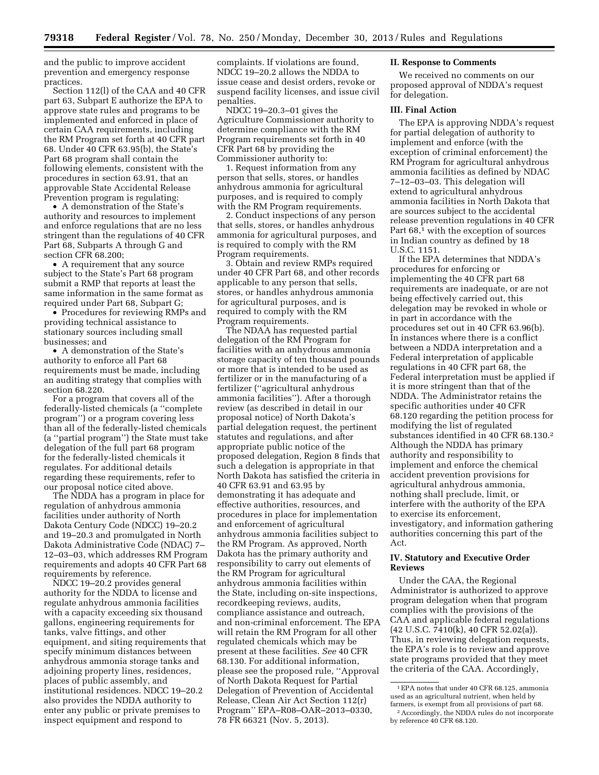and the public to improve accident prevention and emergency response practices.

Section 112(l) of the CAA and 40 CFR part 63, Subpart E authorize the EPA to approve state rules and programs to be implemented and enforced in place of certain CAA requirements, including the RM Program set forth at 40 CFR part 68. Under 40 CFR 63.95(b), the State's Part 68 program shall contain the following elements, consistent with the procedures in section 63.91, that an approvable State Accidental Release Prevention program is regulating:

• A demonstration of the State's authority and resources to implement and enforce regulations that are no less stringent than the regulations of 40 CFR Part 68, Subparts A through G and section CFR 68.200;

• A requirement that any source subject to the State's Part 68 program submit a RMP that reports at least the same information in the same format as required under Part 68, Subpart G;

• Procedures for reviewing RMPs and providing technical assistance to stationary sources including small businesses; and

• A demonstration of the State's authority to enforce all Part 68 requirements must be made, including an auditing strategy that complies with section 68.220.

For a program that covers all of the federally-listed chemicals (a ''complete program'') or a program covering less than all of the federally-listed chemicals (a ''partial program'') the State must take delegation of the full part 68 program for the federally-listed chemicals it regulates. For additional details regarding these requirements, refer to our proposal notice cited above.

The NDDA has a program in place for regulation of anhydrous ammonia facilities under authority of North Dakota Century Code (NDCC) 19–20.2 and 19–20.3 and promulgated in North Dakota Administrative Code (NDAC) 7– 12–03–03, which addresses RM Program requirements and adopts 40 CFR Part 68 requirements by reference.

NDCC 19–20.2 provides general authority for the NDDA to license and regulate anhydrous ammonia facilities with a capacity exceeding six thousand gallons, engineering requirements for tanks, valve fittings, and other equipment, and siting requirements that specify minimum distances between anhydrous ammonia storage tanks and adjoining property lines, residences, places of public assembly, and institutional residences. NDCC 19–20.2 also provides the NDDA authority to enter any public or private premises to inspect equipment and respond to

complaints. If violations are found, NDCC 19–20.2 allows the NDDA to issue cease and desist orders, revoke or suspend facility licenses, and issue civil penalties.

NDCC 19–20.3–01 gives the Agriculture Commissioner authority to determine compliance with the RM Program requirements set forth in 40 CFR Part 68 by providing the Commissioner authority to:

1. Request information from any person that sells, stores, or handles anhydrous ammonia for agricultural purposes, and is required to comply with the RM Program requirements.

2. Conduct inspections of any person that sells, stores, or handles anhydrous ammonia for agricultural purposes, and is required to comply with the RM Program requirements.

3. Obtain and review RMPs required under 40 CFR Part 68, and other records applicable to any person that sells, stores, or handles anhydrous ammonia for agricultural purposes, and is required to comply with the RM Program requirements.

The NDAA has requested partial delegation of the RM Program for facilities with an anhydrous ammonia storage capacity of ten thousand pounds or more that is intended to be used as fertilizer or in the manufacturing of a fertilizer (''agricultural anhydrous ammonia facilities''). After a thorough review (as described in detail in our proposal notice) of North Dakota's partial delegation request, the pertinent statutes and regulations, and after appropriate public notice of the proposed delegation, Region 8 finds that such a delegation is appropriate in that North Dakota has satisfied the criteria in 40 CFR 63.91 and 63.95 by demonstrating it has adequate and effective authorities, resources, and procedures in place for implementation and enforcement of agricultural anhydrous ammonia facilities subject to the RM Program. As approved, North Dakota has the primary authority and responsibility to carry out elements of the RM Program for agricultural anhydrous ammonia facilities within the State, including on-site inspections, recordkeeping reviews, audits, compliance assistance and outreach, and non-criminal enforcement. The EPA will retain the RM Program for all other regulated chemicals which may be present at these facilities. *See* 40 CFR 68.130. For additional information, please see the proposed rule, ''Approval of North Dakota Request for Partial Delegation of Prevention of Accidental Release, Clean Air Act Section 112(r) Program'' EPA–R08–OAR–2013–0330, 78 FR 66321 (Nov. 5, 2013).

### **II. Response to Comments**

We received no comments on our proposed approval of NDDA's request for delegation.

#### **III. Final Action**

The EPA is approving NDDA's request for partial delegation of authority to implement and enforce (with the exception of criminal enforcement) the RM Program for agricultural anhydrous ammonia facilities as defined by NDAC 7–12–03–03. This delegation will extend to agricultural anhydrous ammonia facilities in North Dakota that are sources subject to the accidental release prevention regulations in 40 CFR Part 68,<sup>1</sup> with the exception of sources in Indian country as defined by 18 U.S.C. 1151.

If the EPA determines that NDDA's procedures for enforcing or implementing the 40 CFR part 68 requirements are inadequate, or are not being effectively carried out, this delegation may be revoked in whole or in part in accordance with the procedures set out in 40 CFR 63.96(b). In instances where there is a conflict between a NDDA interpretation and a Federal interpretation of applicable regulations in 40 CFR part 68, the Federal interpretation must be applied if it is more stringent than that of the NDDA. The Administrator retains the specific authorities under 40 CFR 68.120 regarding the petition process for modifying the list of regulated substances identified in 40 CFR 68.130.2 Although the NDDA has primary authority and responsibility to implement and enforce the chemical accident prevention provisions for agricultural anhydrous ammonia, nothing shall preclude, limit, or interfere with the authority of the EPA to exercise its enforcement, investigatory, and information gathering authorities concerning this part of the Act.

## **IV. Statutory and Executive Order Reviews**

Under the CAA, the Regional Administrator is authorized to approve program delegation when that program complies with the provisions of the CAA and applicable federal regulations (42 U.S.C. 7410(k), 40 CFR 52.02(a)). Thus, in reviewing delegation requests, the EPA's role is to review and approve state programs provided that they meet the criteria of the CAA. Accordingly,

<sup>1</sup>EPA notes that under 40 CFR 68.125, ammonia used as an agricultural nutrient, when held by farmers, is exempt from all provisions of part 68.

<sup>2</sup>Accordingly, the NDDA rules do not incorporate by reference 40 CFR 68.120.